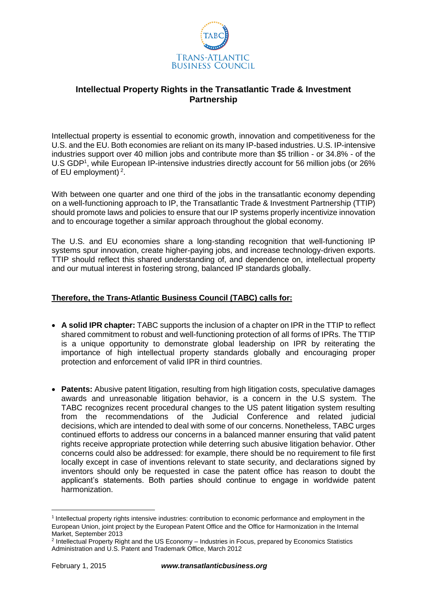

## **Intellectual Property Rights in the Transatlantic Trade & Investment Partnership**

Intellectual property is essential to economic growth, innovation and competitiveness for the U.S. and the EU. Both economies are reliant on its many IP-based industries. U.S. IP-intensive industries support over 40 million jobs and contribute more than \$5 trillion - or 34.8% - of the U.S GDP<sup>1</sup>, while European IP-intensive industries directly account for 56 million jobs (or 26% of EU employment)<sup>2</sup>.

With between one quarter and one third of the jobs in the transatlantic economy depending on a well-functioning approach to IP, the Transatlantic Trade & Investment Partnership (TTIP) should promote laws and policies to ensure that our IP systems properly incentivize innovation and to encourage together a similar approach throughout the global economy.

The U.S. and EU economies share a long-standing recognition that well-functioning IP systems spur innovation, create higher-paying jobs, and increase technology-driven exports. TTIP should reflect this shared understanding of, and dependence on, intellectual property and our mutual interest in fostering strong, balanced IP standards globally.

## **Therefore, the Trans-Atlantic Business Council (TABC) calls for:**

- **A solid IPR chapter:** TABC supports the inclusion of a chapter on IPR in the TTIP to reflect shared commitment to robust and well-functioning protection of all forms of IPRs. The TTIP is a unique opportunity to demonstrate global leadership on IPR by reiterating the importance of high intellectual property standards globally and encouraging proper protection and enforcement of valid IPR in third countries.
- **Patents:** Abusive patent litigation, resulting from high litigation costs, speculative damages awards and unreasonable litigation behavior, is a concern in the U.S system. The TABC recognizes recent procedural changes to the US patent litigation system resulting from the recommendations of the Judicial Conference and related judicial decisions, which are intended to deal with some of our concerns. Nonetheless, TABC urges continued efforts to address our concerns in a balanced manner ensuring that valid patent rights receive appropriate protection while deterring such abusive litigation behavior. Other concerns could also be addressed: for example, there should be no requirement to file first locally except in case of inventions relevant to state security, and declarations signed by inventors should only be requested in case the patent office has reason to doubt the applicant's statements. Both parties should continue to engage in worldwide patent harmonization.

**.** 

<sup>&</sup>lt;sup>1</sup> Intellectual property rights intensive industries: contribution to economic performance and employment in the European Union, joint project by the European Patent Office and the Office for Harmonization in the Internal Market, September 2013

<sup>&</sup>lt;sup>2</sup> Intellectual Property Right and the US Economy – Industries in Focus, prepared by Economics Statistics Administration and U.S. Patent and Trademark Office, March 2012